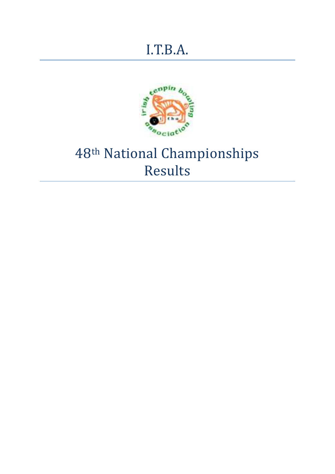# I.T.B.A.



# 48th National Championships Results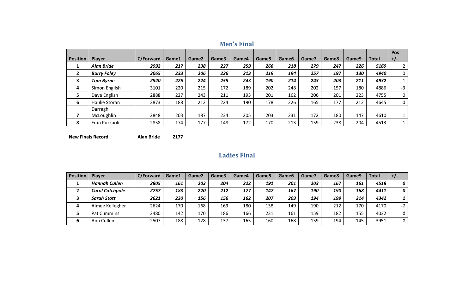|                 |                    |           |       |       |       |       |       |                   |       |       |       |              | <b>Pos</b>  |
|-----------------|--------------------|-----------|-------|-------|-------|-------|-------|-------------------|-------|-------|-------|--------------|-------------|
| <b>Position</b> | Player             | C/Forward | Game1 | Game2 | Game3 | Game4 | Game5 | Game <sub>6</sub> | Game7 | Game8 | Game9 | <b>Total</b> | $+/-$       |
| 1               | <b>Alan Bride</b>  | 2992      | 217   | 238   | 227   | 259   | 266   | 218               | 279   | 247   | 226   | 5169         |             |
| $\mathbf{2}$    | <b>Barry Foley</b> | 3065      | 233   | 206   | 226   | 213   | 219   | 194               | 257   | 197   | 130   | 4940         | 0           |
| 3               | <b>Tom Byrne</b>   | 2920      | 225   | 224   | 259   | 243   | 190   | 214               | 243   | 203   | 211   | 4932         |             |
| 4               | Simon English      | 3101      | 220   | 215   | 172   | 189   | 202   | 248               | 202   | 157   | 180   | 4886         | $-3$        |
| 5               | Dave English       | 2888      | 227   | 243   | 211   | 193   | 201   | 162               | 206   | 201   | 223   | 4755         | $\mathbf 0$ |
| 6               | Haulie Storan      | 2873      | 188   | 212   | 224   | 190   | 178   | 226               | 165   | 177   | 212   | 4645         | 0           |
|                 | Darragh            |           |       |       |       |       |       |                   |       |       |       |              |             |
|                 | McLoughlin         | 2848      | 203   | 187   | 234   | 205   | 203   | 231               | 172   | 180   | 147   | 4610         |             |
| 8               | Fran Puzzuoli      | 2858      | 174   | 177   | 148   | 172   | 170   | 213               | 159   | 238   | 204   | 4513         | $-1$        |

## **Men's Final**

**New Finals Record Alan Bride 2177**

#### **Ladies Final**

| <b>Position</b> | Player                 | C/Forward | Game1 | Game2 | Game3 | Game4 | Game5 | Game6 | Game7 | Game8 | Game9 | Total | $+/-$ |
|-----------------|------------------------|-----------|-------|-------|-------|-------|-------|-------|-------|-------|-------|-------|-------|
|                 | <b>Hannah Cullen</b>   | 2805      | 161   | 203   | 204   | 222   | 191   | 201   | 203   | 167   | 161   | 4518  | 0     |
|                 | <b>Carol Catchpole</b> | 2757      | 183   | 220   | 212   | 177   | 147   | 167   | 190   | 190   | 168   | 4411  | 0     |
|                 | <b>Sarah Stott</b>     | 2621      | 230   | 156   | 156   | 162   | 207   | 203   | 194   | 199   | 214   | 4342  |       |
| 4               | Aimee Kellegher        | 2624      | 170   | 168   | 169   | 180   | 138   | 149   | 190   | 212   | 170   | 4170  | -1    |
|                 | Pat Cummins            | 2480      | 142   | 170   | 186   | 166   | 231   | 161   | 159   | 182   | 155   | 4032  |       |
| 6               | Ann Cullen             | 2507      | 188   | 128   | 137   | 165   | 160   | 168   | 159   | 194   | 145   | 3951  | -1    |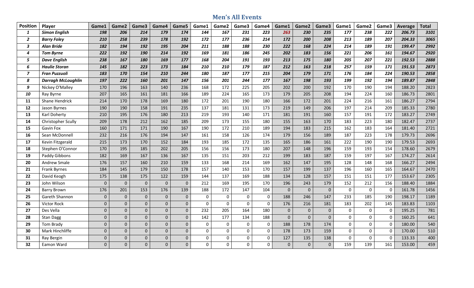#### **Men's All Events**

| <b>Position</b>  | Player                    | Game1          | Game2          | Game3          | Game4        | Game5          | Game1        | Game2    | Game3       | Game4          | Game1       | Game2          | Game3        | Game1       | Game2       | Game3            | Average | <b>Total</b> |
|------------------|---------------------------|----------------|----------------|----------------|--------------|----------------|--------------|----------|-------------|----------------|-------------|----------------|--------------|-------------|-------------|------------------|---------|--------------|
| $\mathbf{1}$     | <b>Simon English</b>      | 198            | 206            | 214            | 179          | 174            | 144          | 167      | 231         | 223            | 263         | 230            | 235          | 177         | 238         | 222              | 206.73  | 3101         |
| $\overline{2}$   | <b>Barry Foley</b>        | 210            | 258            | 239            | 178          | 192            | 172          | 177      | 236         | 214            | 172         | 200            | 208          | 213         | 189         | 207              | 204.33  | 3065         |
| $\mathbf{3}$     | <b>Alan Bride</b>         | 182            | 194            | 192            | 195          | 204            | 211          | 188      | 188         | 230            | 222         | 168            | 224          | 214         | 189         | 191              | 199.47  | 2992         |
| $\boldsymbol{4}$ | <b>Tom Byrne</b>          | 222            | 192            | <b>190</b>     | 214          | 192            | 169          | 181      | 186         | 245            | 202         | 183            | 156          | 221         | 206         | 161              | 194.67  | 2920         |
| 5                | <b>Dave English</b>       | 238            | 167            | 180            | 169          | 177            | 168          | 204      | 191         | 193            | 213         | 175            | 180          | 205         | 207         | 221              | 192.53  | 2888         |
| 6                | <b>Haulie Storan</b>      | 145            | 182            | 223            | 173          | 184            | 210          | 210      | 179         | 187            | 212         | 163            | 218          | 257         | 159         | 171              | 191.53  | 2873         |
| $\overline{z}$   | <b>Fran Puzzuoli</b>      | 183            | 170            | 154            | 210          | 244            | 180          | 187      | 177         | 215            | 204         | 179            | 171          | 176         | 184         | 224              | 190.53  | 2858         |
| 8                | <b>Darragh McLoughlin</b> | 197            | 222            | 160            | 201          | 147            | 156          | 201      | 244         | 177            | 167         | 198            | 193          | 199         | 192         | 194              | 189.87  | 2848         |
| 9                | Nickey O'Malley           | 170            | 196            | 163            | 140          | 236            | 168          | 172      | 225         | 205            | 202         | 200            | 192          | 170         | 190         | 194              | 188.20  | 2823         |
| 10               | Ray Byrne                 | 207            | 165            | 161            | 181          | 166            | 189          | 224      | 165         | 173            | 179         | 205            | 208          | 194         | 224         | 160              | 186.73  | 2801         |
| 11               | Shane Hendrick            | 214            | 170            | 178            | 169          | 180            | 172          | 201      | 190         | 180            | 166         | 172            | 201          | 224         | 216         | 161              | 186.27  | 2794         |
| 12               | Jason Byrnes              | 190            | 190            | 158            | 191          | 235            | 137          | 181      | 131         | 173            | 219         | 149            | 206          | 197         | 214         | 209              | 185.33  | 2780         |
| 13               | Karl Doherty              | 210            | 195            | 176            | 180          | 213            | 219          | 193      | 140         | 171            | 181         | 191            | 160          | 157         | 191         | 172              | 183.27  | 2749         |
| 14               | Christopher Scully        | 209            | 178            | 212            | 162          | 185            | 209          | 173      | 155         | 180            | 155         | 163            | 170          | 183         | 223         | 180              | 182.47  | 2737         |
| 15               | Gavin Fox                 | 160            | 171            | 171            | 190          | 167            | 190          | 172      | 210         | 189            | 194         | 183            | 215          | 162         | 183         | 164              | 181.40  | 2721         |
| 16               | Sean McDonnell            | 232            | 216            | 176            | 194          | 147            | 161          | 158      | 126         | 174            | 179         | 156            | 189          | 187         | 223         | 178              | 179.73  | 2696         |
| 17               | Kevin Fitzgerald          | 215            | 173            | 170            | 152          | 184            | 193          | 185      | 172         | 135            | 165         | 186            | 161          | 222         | 190         | 190              | 179.53  | 2693         |
| 18               | Stephen O'Connor          | 170            | 195            | 185            | 202          | 205            | 156          | 156      | 173         | 180            | 207         | 148            | 196          | 159         | 193         | 154              | 178.60  | 2679         |
| 19               | Paddy Gibbons             | 182            | 169            | 167            | 136          | 167            | 135          | 151      | 203         | 212            | 199         | 183            | 187          | 159         | 197         | 167              | 174.27  | 2614         |
| 20               | Andrew Smale              | 176            | 157            | 160            | 210          | 159            | 133          | 168      | 214         | 169            | 162         | 147            | 195          | 128         | 148         | 168              | 166.27  | 2494         |
| 21               | Frank Byrnes              | 184            | 145            | 179            | 150          | 178            | 157          | 140      | 153         | 170            | 157         | 199            | 137          | 196         | 160         | 165              | 164.67  | 2470         |
| 22               | David Keogh               | 175            | 138            | 175            | 122          | 159            | 144          | 137      | 169         | 188            | 134         | 128            | 157          | 151         | 151         | 177              | 153.67  | 2305         |
| 23               | John Wilson               | $\theta$       | $\mathbf{0}$   | $\mathbf 0$    | $\mathbf{0}$ | $\mathbf{0}$   | 212          | 169      | 195         | 170            | 196         | 243            | 179          | 152         | 212         | 156              | 188.40  | 1884         |
| 24               | <b>Barry Brown</b>        | 176            | 201            | 153            | 176          | 139            | 188          | 172      | 147         | 104            | $\mathbf 0$ | $\Omega$       | $\Omega$     | $\Omega$    | $\Omega$    | $\boldsymbol{0}$ | 161.78  | 1456         |
| 25               | Gareth Shannon            | $\mathbf{0}$   | $\mathbf{0}$   | $\mathbf{0}$   | $\mathbf{0}$ | $\overline{0}$ | $\Omega$     | $\Omega$ | $\mathbf 0$ | $\mathbf 0$    | 188         | 246            | 147          | 233         | 185         | 190              | 198.17  | 1189         |
| 26               | Victor Rock               | $\overline{0}$ | $\overline{0}$ | $\mathbf 0$    | $\mathbf 0$  | $\overline{0}$ | $\Omega$     | $\Omega$ | 0           | $\overline{0}$ | 176         | 216            | 181          | 183         | 202         | 145              | 183.83  | 1103         |
| 27               | Des Vella                 | $\Omega$       | $\mathbf{0}$   | $\mathbf 0$    | $\mathbf{0}$ | $\overline{0}$ | 232          | 205      | 164         | 180            | $\mathbf 0$ | $\overline{0}$ | $\mathbf{0}$ | $\Omega$    | $\Omega$    | $\boldsymbol{0}$ | 195.25  | 781          |
| 28               | <b>Stan Dagg</b>          | $\mathbf{0}$   | $\mathbf{0}$   | $\mathbf 0$    | $\mathbf 0$  | $\overline{0}$ | 142          | 177      | 134         | 188            | $\mathbf 0$ | $\overline{0}$ | $\mathbf{0}$ | $\mathbf 0$ | $\Omega$    | $\boldsymbol{0}$ | 160.25  | 641          |
| 29               | Tom Brady                 | $\mathbf{0}$   | $\overline{0}$ | $\mathbf 0$    | $\mathbf{0}$ | $\overline{0}$ | $\mathbf 0$  | 0        | $\mathbf 0$ | $\mathbf 0$    | 188         | 178            | 174          | $\Omega$    | $\mathbf 0$ | $\mathbf 0$      | 180.00  | 540          |
| 30               | Mark Hinchliffe           | $\Omega$       | $\Omega$       | $\mathbf 0$    | $\mathbf{0}$ | $\overline{0}$ | $\mathbf 0$  | $\Omega$ | 0           | $\mathbf 0$    | 178         | 173            | 159          | $\mathbf 0$ | $\Omega$    | $\mathbf 0$      | 170.00  | 510          |
| 31               | Ray Bergin                | $\mathbf 0$    | $\mathbf 0$    | $\mathbf 0$    | $\mathbf{0}$ | $\overline{0}$ | $\mathbf 0$  | 0        | $\pmb{0}$   | $\mathbf 0$    | 127         | 135            | 138          | $\mathbf 0$ | $\mathbf 0$ | $\mathbf 0$      | 133.33  | 400          |
| 32               | Eamon Ward                | $\Omega$       | $\overline{0}$ | $\overline{0}$ | $\Omega$     | $\overline{0}$ | $\mathbf{0}$ | 0        | $\mathbf 0$ | $\Omega$       | $\mathbf 0$ | $\overline{0}$ | $\mathbf{0}$ | 159         | 139         | 161              | 153.00  | 459          |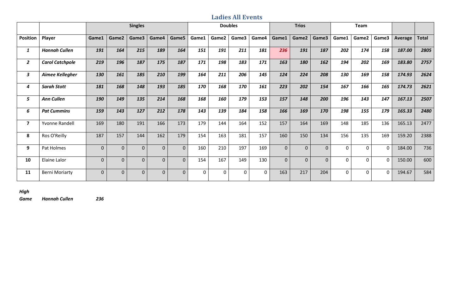#### **Ladies All Events**

|                         |                        |                |                | <b>Singles</b> |             |              |          |              | <b>Doubles</b> |       |                | <b>Trios</b>   |                |          | Team  |             |                |              |
|-------------------------|------------------------|----------------|----------------|----------------|-------------|--------------|----------|--------------|----------------|-------|----------------|----------------|----------------|----------|-------|-------------|----------------|--------------|
| <b>Position</b>         | Player                 | Game1          | Game2          | Game3          | Game4       | Game5        | Game1    | Game2        | Game3          | Game4 | Game1          | Game2          | Game3          | Game1    | Game2 | Game3       | <b>Average</b> | <b>Total</b> |
| 1                       | <b>Hannah Cullen</b>   | 191            | 164            | 215            | 189         | 164          | 151      | 191          | 211            | 181   | 236            | 191            | 187            | 202      | 174   | 158         | 187.00         | 2805         |
| $\overline{2}$          | <b>Carol Catchpole</b> | 219            | 196            | 187            | 175         | 187          | 171      | 198          | 183            | 171   | 163            | 180            | 162            | 194      | 202   | 169         | 183.80         | 2757         |
| 3                       | Aimee Kellegher        | 130            | 161            | 185            | 210         | 199          | 164      | 211          | 206            | 145   | 124            | 224            | 208            | 130      | 169   | 158         | 174.93         | 2624         |
| 4                       | <b>Sarah Stott</b>     | 181            | 168            | 148            | 193         | 185          | 170      | 168          | 170            | 161   | 223            | 202            | 154            | 167      | 166   | 165         | 174.73         | 2621         |
| 5                       | <b>Ann Cullen</b>      | 190            | 149            | 135            | 214         | 168          | 168      | 160          | 179            | 153   | 157            | 148            | 200            | 196      | 143   | 147         | 167.13         | 2507         |
| 6                       | <b>Pat Cummins</b>     | 159            | 143            | 127            | 212         | 178          | 143      | 139          | 184            | 158   | 166            | 169            | 170            | 198      | 155   | 179         | 165.33         | 2480         |
| $\overline{\mathbf{z}}$ | Yvonne Randell         | 169            | 180            | 191            | 166         | 173          | 179      | 144          | 164            | 152   | 157            | 164            | 169            | 148      | 185   | 136         | 165.13         | 2477         |
| 8                       | Ros O'Reilly           | 187            | 157            | 144            | 162         | 179          | 154      | 163          | 181            | 157   | 160            | 150            | 134            | 156      | 135   | 169         | 159.20         | 2388         |
| 9                       | Pat Holmes             | $\mathbf 0$    | $\mathbf 0$    | $\overline{0}$ | $\mathbf 0$ | $\mathbf{0}$ | 160      | 210          | 197            | 169   | $\overline{0}$ | $\overline{0}$ | $\overline{0}$ | $\Omega$ | 0     | $\mathbf 0$ | 184.00         | 736          |
| 10                      | Elaine Lalor           | $\overline{0}$ | $\overline{0}$ | $\overline{0}$ | $\mathbf 0$ | $\mathbf{0}$ | 154      | 167          | 149            | 130   | $\overline{0}$ | $\overline{0}$ | $\overline{0}$ | $\Omega$ | 0     | $\mathbf 0$ | 150.00         | 600          |
| 11                      | <b>Berni Moriarty</b>  | $\mathbf 0$    | $\mathbf 0$    | $\Omega$       | $\mathbf 0$ | $\mathbf 0$  | $\Omega$ | $\mathbf{0}$ | $\mathbf{0}$   | 0     | 163            | 217            | 204            | $\Omega$ | 0     | $\mathbf 0$ | 194.67         | 584          |

#### *High*

*Game Hannah Cullen 236*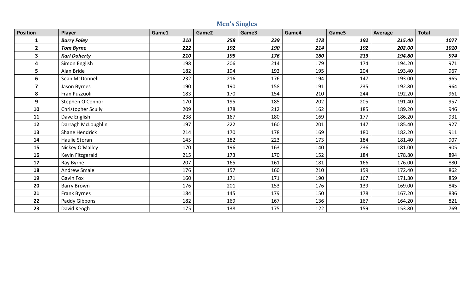|                         |                           |       | <b>Men's Singles</b> |       |       |       |         |              |
|-------------------------|---------------------------|-------|----------------------|-------|-------|-------|---------|--------------|
| <b>Position</b>         | Player                    | Game1 | Game2                | Game3 | Game4 | Game5 | Average | <b>Total</b> |
| $\mathbf{1}$            | <b>Barry Foley</b>        | 210   | 258                  | 239   | 178   | 192   | 215.40  | 1077         |
| $2^{\circ}$             | <b>Tom Byrne</b>          | 222   | 192                  | 190   | 214   | 192   | 202.00  | 1010         |
| $\mathbf{3}$            | <b>Karl Doherty</b>       | 210   | 195                  | 176   | 180   | 213   | 194.80  | 974          |
| 4                       | Simon English             | 198   | 206                  | 214   | 179   | 174   | 194.20  | 971          |
| 5                       | Alan Bride                | 182   | 194                  | 192   | 195   | 204   | 193.40  | 967          |
| 6                       | Sean McDonnell            | 232   | 216                  | 176   | 194   | 147   | 193.00  | 965          |
| $\overline{\mathbf{z}}$ | Jason Byrnes              | 190   | 190                  | 158   | 191   | 235   | 192.80  | 964          |
| 8                       | Fran Puzzuoli             | 183   | 170                  | 154   | 210   | 244   | 192.20  | 961          |
| 9                       | Stephen O'Connor          | 170   | 195                  | 185   | 202   | 205   | 191.40  | 957          |
| 10                      | <b>Christopher Scully</b> | 209   | 178                  | 212   | 162   | 185   | 189.20  | 946          |
| 11                      | Dave English              | 238   | 167                  | 180   | 169   | 177   | 186.20  | 931          |
| 12                      | Darragh McLoughlin        | 197   | 222                  | 160   | 201   | 147   | 185.40  | 927          |
| 13                      | <b>Shane Hendrick</b>     | 214   | 170                  | 178   | 169   | 180   | 182.20  | 911          |
| 14                      | Haulie Storan             | 145   | 182                  | 223   | 173   | 184   | 181.40  | 907          |
| 15                      | Nickey O'Malley           | 170   | 196                  | 163   | 140   | 236   | 181.00  | 905          |
| 16                      | Kevin Fitzgerald          | 215   | 173                  | 170   | 152   | 184   | 178.80  | 894          |
| 17                      | Ray Byrne                 | 207   | 165                  | 161   | 181   | 166   | 176.00  | 880          |
| 18                      | <b>Andrew Smale</b>       | 176   | 157                  | 160   | 210   | 159   | 172.40  | 862          |
| 19                      | Gavin Fox                 | 160   | 171                  | 171   | 190   | 167   | 171.80  | 859          |
| 20                      | <b>Barry Brown</b>        | 176   | 201                  | 153   | 176   | 139   | 169.00  | 845          |
| 21                      | Frank Byrnes              | 184   | 145                  | 179   | 150   | 178   | 167.20  | 836          |
| 22                      | Paddy Gibbons             | 182   | 169                  | 167   | 136   | 167   | 164.20  | 821          |
| 23                      | David Keogh               | 175   | 138                  | 175   | 122   | 159   | 153.80  | 769          |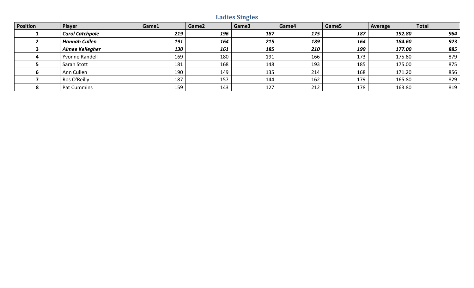# **Ladies Singles**

| <b>Position</b> | Player                 | Game1 | Game2 | Game3 | Game4 | Game5 | Average | <b>Total</b> |
|-----------------|------------------------|-------|-------|-------|-------|-------|---------|--------------|
|                 | <b>Carol Catchpole</b> | 219   | 196   | 187   | 175   | 187   | 192.80  | 964          |
|                 | <b>Hannah Cullen</b>   | 191   | 164   | 215   | 189   | 164   | 184.60  | 923          |
|                 | Aimee Kellegher        | 130   | 161   | 185   | 210   | 199   | 177.00  | 885          |
|                 | <b>Yvonne Randell</b>  | 169   | 180   | 191   | 166   | 173   | 175.80  | 879          |
|                 | Sarah Stott            | 181   | 168   | 148   | 193   | 185   | 175.00  | 875          |
|                 | Ann Cullen             | 190   | 149   | 135   | 214   | 168   | 171.20  | 856          |
|                 | Ros O'Reilly           | 187   | 157   | 144   | 162   | 179   | 165.80  | 829          |
|                 | Pat Cummins            | 159   | 143   | 127   | 212   | 178   | 163.80  | 819          |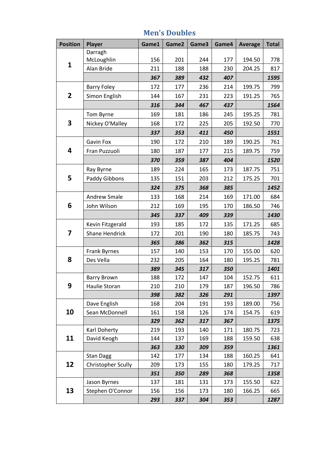| <b>Position</b> | <b>Player</b>             | Game1 | Game2 | Game3 | Game4 | <b>Average</b> | <b>Total</b> |
|-----------------|---------------------------|-------|-------|-------|-------|----------------|--------------|
|                 | Darragh                   |       |       |       |       |                |              |
| $\mathbf{1}$    | McLoughlin                | 156   | 201   | 244   | 177   | 194.50         | 778          |
|                 | Alan Bride                | 211   | 188   | 188   | 230   | 204.25         | 817          |
|                 |                           | 367   | 389   | 432   | 407   |                | 1595         |
|                 | <b>Barry Foley</b>        | 172   | 177   | 236   | 214   | 199.75         | 799          |
| $\overline{2}$  | Simon English             | 144   | 167   | 231   | 223   | 191.25         | 765          |
|                 |                           | 316   | 344   | 467   | 437   |                | 1564         |
|                 | Tom Byrne                 | 169   | 181   | 186   | 245   | 195.25         | 781          |
| 3               | Nickey O'Malley           | 168   | 172   | 225   | 205   | 192.50         | 770          |
|                 |                           | 337   | 353   | 411   | 450   |                | 1551         |
|                 | <b>Gavin Fox</b>          | 190   | 172   | 210   | 189   | 190.25         | 761          |
| 4               | Fran Puzzuoli             | 180   | 187   | 177   | 215   | 189.75         | 759          |
|                 |                           | 370   | 359   | 387   | 404   |                | 1520         |
|                 | Ray Byrne                 | 189   | 224   | 165   | 173   | 187.75         | 751          |
| 5               | Paddy Gibbons             | 135   | 151   | 203   | 212   | 175.25         | 701          |
|                 |                           | 324   | 375   | 368   | 385   |                | 1452         |
|                 | <b>Andrew Smale</b>       | 133   | 168   | 214   | 169   | 171.00         | 684          |
| 6               | John Wilson               | 212   | 169   | 195   | 170   | 186.50         | 746          |
|                 |                           | 345   | 337   | 409   | 339   |                | 1430         |
|                 | Kevin Fitzgerald          | 193   | 185   | 172   | 135   | 171.25         | 685          |
| 7               | <b>Shane Hendrick</b>     | 172   | 201   | 190   | 180   | 185.75         | 743          |
|                 |                           | 365   | 386   | 362   | 315   |                | 1428         |
|                 | Frank Byrnes              | 157   | 140   | 153   | 170   | 155.00         | 620          |
| 8               | Des Vella                 | 232   | 205   | 164   | 180   | 195.25         | 781          |
|                 |                           | 389   | 345   | 317   | 350   |                | 1401         |
|                 | <b>Barry Brown</b>        | 188   | 172   | 147   | 104   | 152.75         | 611          |
| 9               | Haulie Storan             | 210   | 210   | 179   | 187   | 196.50         | 786          |
|                 |                           | 398   | 382   | 326   | 291   |                | 1397         |
|                 | Dave English              | 168   | 204   | 191   | 193   | 189.00         | 756          |
| 10              | Sean McDonnell            | 161   | 158   | 126   | 174   | 154.75         | 619          |
|                 |                           | 329   | 362   | 317   | 367   |                | 1375         |
|                 | Karl Doherty              | 219   | 193   | 140   | 171   | 180.75         | 723          |
| 11              | David Keogh               | 144   | 137   | 169   | 188   | 159.50         | 638          |
|                 |                           | 363   | 330   | 309   | 359   |                | 1361         |
|                 | <b>Stan Dagg</b>          | 142   | 177   | 134   | 188   | 160.25         | 641          |
| 12              | <b>Christopher Scully</b> | 209   | 173   | 155   | 180   | 179.25         | 717          |
|                 |                           | 351   | 350   | 289   | 368   |                | 1358         |
|                 | Jason Byrnes              | 137   | 181   | 131   | 173   | 155.50         | 622          |
| 13              | Stephen O'Connor          | 156   | 156   | 173   | 180   | 166.25         | 665          |
|                 |                           | 293   | 337   | 304   | 353   |                | 1287         |

#### **Men's Doubles**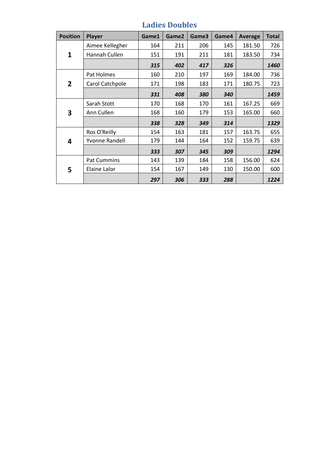| <b>Position</b> | Player                | Game1 | Game2 | Game3 | Game4 | <b>Average</b> | <b>Total</b> |
|-----------------|-----------------------|-------|-------|-------|-------|----------------|--------------|
|                 | Aimee Kellegher       | 164   | 211   | 206   | 145   | 181.50         | 726          |
| 1               | Hannah Cullen         | 151   | 191   | 211   | 181   | 183.50         | 734          |
|                 |                       | 315   | 402   | 417   | 326   |                | 1460         |
|                 | Pat Holmes            | 160   | 210   | 197   | 169   | 184.00         | 736          |
| $\overline{2}$  | Carol Catchpole       | 171   | 198   | 183   | 171   | 180.75         | 723          |
|                 |                       | 331   | 408   | 380   | 340   |                | 1459         |
|                 | Sarah Stott           | 170   | 168   | 170   | 161   | 167.25         | 669          |
| 3               | Ann Cullen            | 168   | 160   | 179   | 153   | 165.00         | 660          |
|                 |                       | 338   | 328   | 349   | 314   |                | 1329         |
|                 | Ros O'Reilly          | 154   | 163   | 181   | 157   | 163.75         | 655          |
| 4               | <b>Yvonne Randell</b> | 179   | 144   | 164   | 152   | 159.75         | 639          |
|                 |                       | 333   | 307   | 345   | 309   |                | 1294         |
|                 | <b>Pat Cummins</b>    | 143   | 139   | 184   | 158   | 156.00         | 624          |
| 5               | Elaine Lalor          | 154   | 167   | 149   | 130   | 150.00         | 600          |
|                 |                       | 297   | 306   | 333   | 288   |                | 1224         |

# **Ladies Doubles**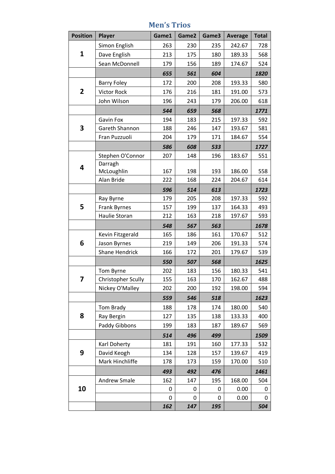| <b>Position</b> | Player                    | Game1 | Game2 | Game3 | <b>Average</b> | <b>Total</b> |
|-----------------|---------------------------|-------|-------|-------|----------------|--------------|
|                 | Simon English             | 263   | 230   | 235   | 242.67         | 728          |
| $\mathbf{1}$    | Dave English              | 213   | 175   | 180   | 189.33         | 568          |
|                 | Sean McDonnell            | 179   | 156   | 189   | 174.67         | 524          |
|                 |                           | 655   | 561   | 604   |                | 1820         |
|                 | <b>Barry Foley</b>        | 172   | 200   | 208   | 193.33         | 580          |
| $\overline{2}$  | <b>Victor Rock</b>        | 176   | 216   | 181   | 191.00         | 573          |
|                 | John Wilson               | 196   | 243   | 179   | 206.00         | 618          |
|                 |                           | 544   | 659   | 568   |                | 1771         |
|                 | <b>Gavin Fox</b>          | 194   | 183   | 215   | 197.33         | 592          |
| 3               | Gareth Shannon            | 188   | 246   | 147   | 193.67         | 581          |
|                 | Fran Puzzuoli             | 204   | 179   | 171   | 184.67         | 554          |
|                 |                           | 586   | 608   | 533   |                | 1727         |
|                 | Stephen O'Connor          | 207   | 148   | 196   | 183.67         | 551          |
| 4               | Darragh                   |       |       |       |                |              |
|                 | McLoughlin                | 167   | 198   | 193   | 186.00         | 558          |
|                 | Alan Bride                | 222   | 168   | 224   | 204.67         | 614          |
|                 |                           | 596   | 514   | 613   |                | 1723         |
|                 | Ray Byrne                 | 179   | 205   | 208   | 197.33         | 592          |
| 5               | Frank Byrnes              | 157   | 199   | 137   | 164.33         | 493          |
|                 | Haulie Storan             | 212   | 163   | 218   | 197.67         | 593          |
|                 |                           | 548   | 567   | 563   |                | 1678         |
|                 | Kevin Fitzgerald          | 165   | 186   | 161   | 170.67         | 512          |
| 6               | Jason Byrnes              | 219   | 149   | 206   | 191.33         | 574          |
|                 | Shane Hendrick            | 166   | 172   | 201   | 179.67         | 539          |
|                 |                           | 550   | 507   | 568   |                | 1625         |
|                 | Tom Byrne                 | 202   | 183   | 156   | 180.33         | 541          |
| 7               | <b>Christopher Scully</b> | 155   | 163   | 170   | 162.67         | 488          |
|                 | Nickey O'Malley           | 202   | 200   | 192   | 198.00         | 594          |
|                 |                           | 559   | 546   | 518   |                | 1623         |
|                 | Tom Brady                 | 188   | 178   | 174   | 180.00         | 540          |
| 8               | Ray Bergin                | 127   | 135   | 138   | 133.33         | 400          |
|                 | Paddy Gibbons             | 199   | 183   | 187   | 189.67         | 569          |
|                 |                           | 514   | 496   | 499   |                | 1509         |
|                 | Karl Doherty              | 181   | 191   | 160   | 177.33         | 532          |
| 9               | David Keogh               | 134   | 128   | 157   | 139.67         | 419          |
|                 | Mark Hinchliffe           | 178   | 173   | 159   | 170.00         | 510          |
|                 |                           | 493   | 492   | 476   |                | 1461         |
|                 | <b>Andrew Smale</b>       | 162   | 147   | 195   | 168.00         | 504          |
| 10              |                           | 0     | 0     | 0     | 0.00           | 0            |
|                 |                           | 0     | 0     | 0     | 0.00           | 0            |
|                 |                           | 162   | 147   | 195   |                | 504          |

## **Men's Trios**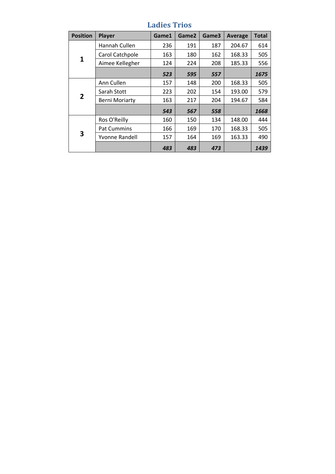| <b>Position</b> | Player                | Game1 | Game2 | Game3 | Average | <b>Total</b> |
|-----------------|-----------------------|-------|-------|-------|---------|--------------|
|                 | Hannah Cullen         | 236   | 191   | 187   | 204.67  | 614          |
|                 | Carol Catchpole       | 163   | 180   | 162   | 168.33  | 505          |
| 1               | Aimee Kellegher       | 124   | 224   | 208   | 185.33  | 556          |
|                 |                       | 523   | 595   | 557   |         | 1675         |
|                 | Ann Cullen            | 157   | 148   | 200   | 168.33  | 505          |
|                 | Sarah Stott           | 223   | 202   | 154   | 193.00  | 579          |
| $\overline{2}$  | <b>Berni Moriarty</b> | 163   | 217   | 204   | 194.67  | 584          |
|                 |                       | 543   | 567   | 558   |         | 1668         |
|                 | Ros O'Reilly          | 160   | 150   | 134   | 148.00  | 444          |
|                 | <b>Pat Cummins</b>    | 166   | 169   | 170   | 168.33  | 505          |
| 3               | Yvonne Randell        | 157   | 164   | 169   | 163.33  | 490          |
|                 |                       | 483   | 483   | 473   |         | 1439         |

# **Ladies Trios**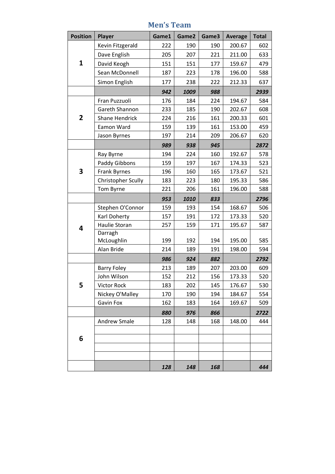| <b>Position</b> | <b>Player</b>             | Game1 | Game2 | Game3 | <b>Average</b> | <b>Total</b> |
|-----------------|---------------------------|-------|-------|-------|----------------|--------------|
|                 | Kevin Fitzgerald          | 222   | 190   | 190   | 200.67         | 602          |
|                 | Dave English              | 205   | 207   | 221   | 211.00         | 633          |
| $\mathbf{1}$    | David Keogh               | 151   | 151   | 177   | 159.67         | 479          |
|                 | Sean McDonnell            | 187   | 223   | 178   | 196.00         | 588          |
|                 | Simon English             | 177   | 238   | 222   | 212.33         | 637          |
|                 |                           | 942   | 1009  | 988   |                | 2939         |
|                 | Fran Puzzuoli             | 176   | 184   | 224   | 194.67         | 584          |
|                 | Gareth Shannon            | 233   | 185   | 190   | 202.67         | 608          |
| $\overline{2}$  | <b>Shane Hendrick</b>     | 224   | 216   | 161   | 200.33         | 601          |
|                 | Eamon Ward                | 159   | 139   | 161   | 153.00         | 459          |
|                 | Jason Byrnes              | 197   | 214   | 209   | 206.67         | 620          |
|                 |                           | 989   | 938   | 945   |                | 2872         |
|                 | Ray Byrne                 | 194   | 224   | 160   | 192.67         | 578          |
|                 | Paddy Gibbons             | 159   | 197   | 167   | 174.33         | 523          |
| 3               | <b>Frank Byrnes</b>       | 196   | 160   | 165   | 173.67         | 521          |
|                 | <b>Christopher Scully</b> | 183   | 223   | 180   | 195.33         | 586          |
|                 | Tom Byrne                 | 221   | 206   | 161   | 196.00         | 588          |
|                 |                           | 953   | 1010  | 833   |                | 2796         |
|                 | Stephen O'Connor          | 159   | 193   | 154   | 168.67         | 506          |
|                 | Karl Doherty              | 157   | 191   | 172   | 173.33         | 520          |
| 4               | Haulie Storan             | 257   | 159   | 171   | 195.67         | 587          |
|                 | Darragh                   |       |       |       |                |              |
|                 | McLoughlin                | 199   | 192   | 194   | 195.00         | 585          |
|                 | Alan Bride                | 214   | 189   | 191   | 198.00         | 594          |
|                 |                           | 986   | 924   | 882   |                | 2792         |
|                 | <b>Barry Foley</b>        | 213   | 189   | 207   | 203.00         | 609          |
|                 | John Wilson               | 152   | 212   | 156   | 173.33         | 520          |
| 5               | <b>Victor Rock</b>        | 183   | 202   | 145   | 176.67         | 530          |
|                 | Nickey O'Malley           | 170   | 190   | 194   | 184.67         | 554          |
|                 | Gavin Fox                 | 162   | 183   | 164   | 169.67         | 509          |
|                 |                           | 880   | 976   | 866   |                | 2722         |
|                 | <b>Andrew Smale</b>       | 128   | 148   | 168   | 148.00         | 444          |
|                 |                           |       |       |       |                |              |
| 6               |                           |       |       |       |                |              |
|                 |                           |       |       |       |                |              |
|                 |                           |       |       |       |                |              |
|                 |                           | 128   | 148   | 168   |                | 444          |

## **Men's Team**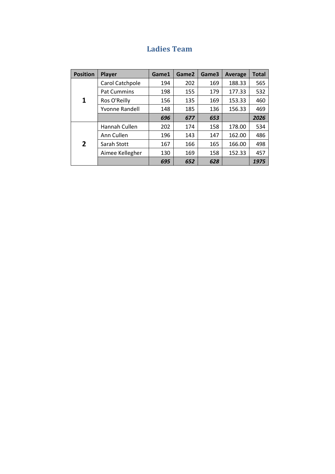|  | <b>Ladies Team</b> |
|--|--------------------|
|--|--------------------|

| <b>Position</b> | <b>Player</b>      | Game1 | Game2 | Game3 | <b>Average</b> | <b>Total</b> |
|-----------------|--------------------|-------|-------|-------|----------------|--------------|
| 1               | Carol Catchpole    | 194   | 202   | 169   | 188.33         | 565          |
|                 | <b>Pat Cummins</b> | 198   | 155   | 179   | 177.33         | 532          |
|                 | Ros O'Reilly       | 156   | 135   | 169   | 153.33         | 460          |
|                 | Yvonne Randell     | 148   | 185   | 136   | 156.33         | 469          |
|                 |                    | 696   | 677   | 653   |                | 2026         |
| $\overline{2}$  | Hannah Cullen      | 202   | 174   | 158   | 178.00         | 534          |
|                 | Ann Cullen         | 196   | 143   | 147   | 162.00         | 486          |
|                 | Sarah Stott        | 167   | 166   | 165   | 166.00         | 498          |
|                 | Aimee Kellegher    | 130   | 169   | 158   | 152.33         | 457          |
|                 |                    | 695   | 652   | 628   |                | 1975         |